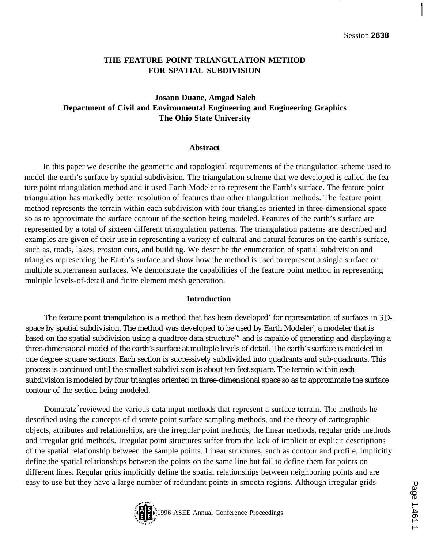**I**

### **THE FEATURE POINT TRIANGULATION METHOD FOR SPATIAL SUBDIVISION**

# **Josann Duane, Amgad Saleh Department of Civil and Environmental Engineering and Engineering Graphics The Ohio State University**

#### **Abstract**

In this paper we describe the geometric and topological requirements of the triangulation scheme used to model the earth's surface by spatial subdivision. The triangulation scheme that we developed is called the feature point triangulation method and it used Earth Modeler to represent the Earth's surface. The feature point triangulation has markedly better resolution of features than other triangulation methods. The feature point method represents the terrain within each subdivision with four triangles oriented in three-dimensional space so as to approximate the surface contour of the section being modeled. Features of the earth's surface are represented by a total of sixteen different triangulation patterns. The triangulation patterns are described and examples are given of their use in representing a variety of cultural and natural features on the earth's surface, such as, roads, lakes, erosion cuts, and building. We describe the enumeration of spatial subdivision and triangles representing the Earth's surface and show how the method is used to represent a single surface or multiple subterranean surfaces. We demonstrate the capabilities of the feature point method in representing multiple levels-of-detail and finite element mesh generation.

### **Introduction**

The feature point triangulation is a method that has been developed' for representation of surfaces in 3Dspace by spatial subdivision. The method was developed to be used by Earth Modeler $^{\ast}$ , a modeler that is based on the spatial subdivision using a quadtree data structure'" and is capable of generating and displaying a three-dimensional model of the earth's surface at multiple levels of detail. The earth's surface is modeled in one degree square sections. Each section is successively subdivided into quadrants and sub-quadrants. This process is continued until the smallest subdivi sion is about ten feet square. The terrain within each subdivision is modeled by four triangles oriented in three-dimensional space so as to approximate the surface contour of the section being modeled.

Domaratz reviewed the various data input methods that represent a surface terrain. The methods he described using the concepts of discrete point surface sampling methods, and the theory of cartographic objects, attributes and relationships, are the irregular point methods, the linear methods, regular grids methods and irregular grid methods. Irregular point structures suffer from the lack of implicit or explicit descriptions of the spatial relationship between the sample points. Linear structures, such as contour and profile, implicitly define the spatial relationships between the points on the same line but fail to define them for points on different lines. Regular grids implicitly define the spatial relationships between neighboring points and are easy to use but they have a large number of redundant points in smooth regions. Although irregular grids

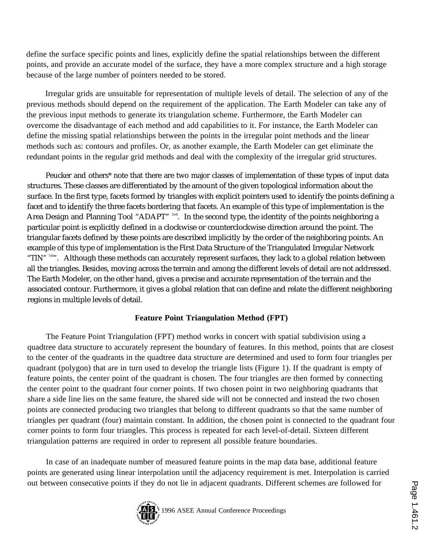define the surface specific points and lines, explicitly define the spatial relationships between the different points, and provide an accurate model of the surface, they have a more complex structure and a high storage because of the large number of pointers needed to be stored.

Irregular grids are unsuitable for representation of multiple levels of detail. The selection of any of the previous methods should depend on the requirement of the application. The Earth Modeler can take any of the previous input methods to generate its triangulation scheme. Furthermore, the Earth Modeler can overcome the disadvantage of each method and add capabilities to it. For instance, the Earth Modeler can define the missing spatial relationships between the points in the irregular point methods and the linear methods such as: contours and profiles. Or, as another example, the Earth Modeler can get eliminate the redundant points in the regular grid methods and deal with the complexity of the irregular grid structures.

Peucker and others\* note that there are two major classes of implementation of these types of input data structures. These classes are differentiated by the amount of the given topological information about the surface. In the first type, facets formed by triangles with explicit pointers used to identify the points defining a facet and to identify the three facets bordering that facets. An example of this type of implementation is the Area Design and Planning Tool "ADAPT" <sup>514</sup>. In the second type, the identity of the points neighboring a particular point is explicitly defined in a clockwise or counterclockwise direction around the point. The triangular facets defined by these points are described implicitly by the order of the neighboring points. An example of this type of implementation is the First Data Structure of the Triangulated Irregular Network "TIN" <sup>788</sup>". Although these methods can accurately represent surfaces, they lack to a global relation between all the triangles. Besides, moving across the terrain and among the different levels of detail are not addressed. The Earth Modeler, on the other hand, gives a precise and accurate representation of the terrain and the associated contour. Furthermore, it gives a global relation that can define and relate the different neighboring regions in multiple levels of detail.

## **Feature Point Triangulation Method (FPT)**

The Feature Point Triangulation (FPT) method works in concert with spatial subdivision using a quadtree data structure to accurately represent the boundary of features. In this method, points that are closest to the center of the quadrants in the quadtree data structure are determined and used to form four triangles per quadrant (polygon) that are in turn used to develop the triangle lists (Figure 1). If the quadrant is empty of feature points, the center point of the quadrant is chosen. The four triangles are then formed by connecting the center point to the quadrant four corner points. If two chosen point in two neighboring quadrants that share a side line lies on the same feature, the shared side will not be connected and instead the two chosen points are connected producing two triangles that belong to different quadrants so that the same number of triangles per quadrant (four) maintain constant. In addition, the chosen point is connected to the quadrant four corner points to form four triangles. This process is repeated for each level-of-detail. Sixteen different triangulation patterns are required in order to represent all possible feature boundaries.

In case of an inadequate number of measured feature points in the map data base, additional feature points are generated using linear interpolation until the adjacency requirement is met. Interpolation is carried out between consecutive points if they do not lie in adjacent quadrants. Different schemes are followed for

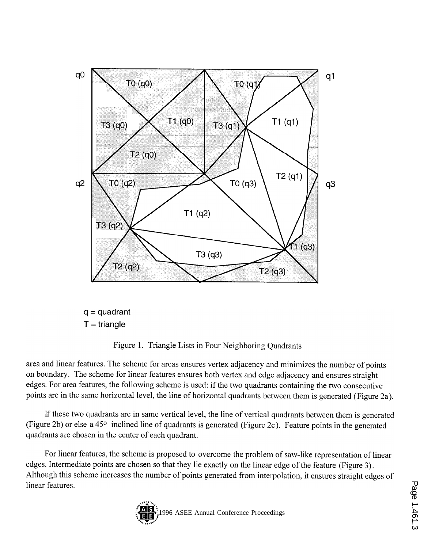

 $q =$  quadrant  $T =$ triangle

Figure 1. Triangle Lists in Four Neighboring Quadrants

area and linear features. The scheme for areas ensures vertex adjacency and minimizes the number of points on boundary. The scheme for linear features ensures both vertex and edge adjacency and ensures straight edges. For area features, the following scheme is used: if the two quadrants containing the two consecutive points are in the same horizontal level, the line of horizontal quadrants between them is generated (Figure 2a).

If these two quadrants are in same vertical level, the line of vertical quadrants between them is generated (Figure 2b) or else a 45° inclined line of quadrants is generated (Figure 2c). Feature points in the generated quadrants are chosen in the center of each quadrant.

For linear features, the scheme is proposed to overcome the problem of saw-like representation of linear edges. Intermediate points are chosen so that they lie exactly on the linear edge of the feature (Figure 3). Although this scheme increases the number of points generated from interpolation, it ensures straight edges of linear features.

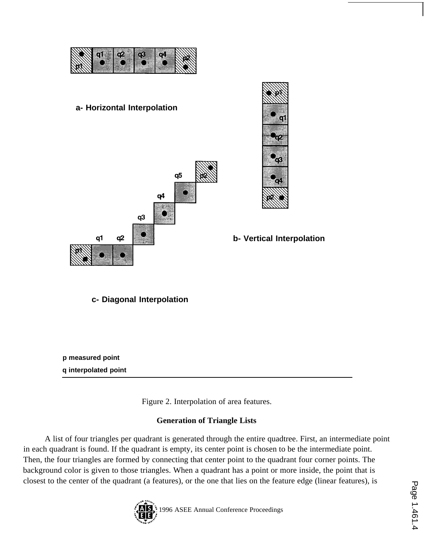

**a- Horizontal Interpolation**



 $\mathbf{q}_3$ 

**b- Vertical Interpolation**

**c- Diagonal Interpolation**

**p measured point q interpolated point**

Figure 2. Interpolation of area features.

# **Generation of Triangle Lists**

A list of four triangles per quadrant is generated through the entire quadtree. First, an intermediate point in each quadrant is found. If the quadrant is empty, its center point is chosen to be the intermediate point. Then, the four triangles are formed by connecting that center point to the quadrant four corner points. The background color is given to those triangles. When a quadrant has a point or more inside, the point that is closest to the center of the quadrant (a features), or the one that lies on the feature edge (linear features), is

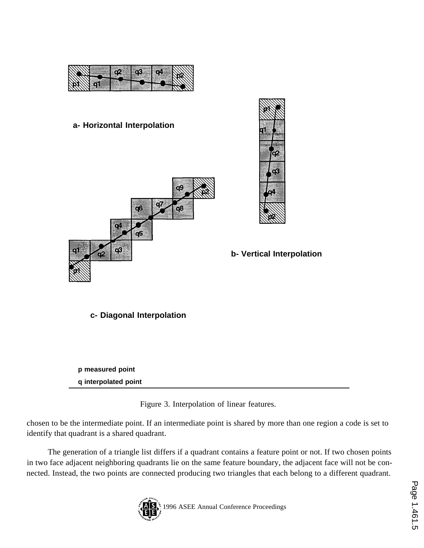

# **a- Horizontal Interpolation**





## **b- Vertical Interpolation**

**c- Diagonal Interpolation**

**p measured point q interpolated point**

Figure 3. Interpolation of linear features.

chosen to be the intermediate point. If an intermediate point is shared by more than one region a code is set to identify that quadrant is a shared quadrant.

The generation of a triangle list differs if a quadrant contains a feature point or not. If two chosen points in two face adjacent neighboring quadrants lie on the same feature boundary, the adjacent face will not be connected. Instead, the two points are connected producing two triangles that each belong to a different quadrant.

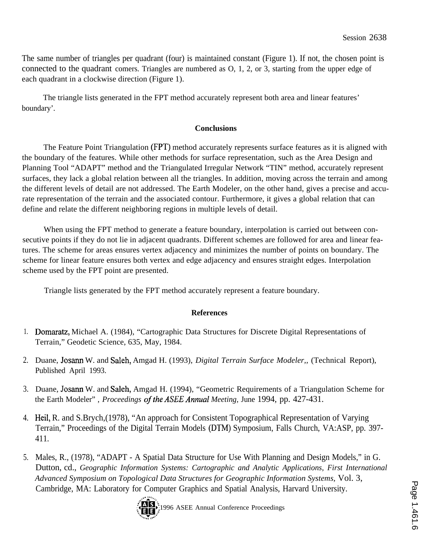The same number of triangles per quadrant (four) is maintained constant (Figure 1). If not, the chosen point is connected to the quadrant comers. Triangles are numbered as O, 1, 2, or 3, starting from the upper edge of each quadrant in a clockwise direction (Figure 1).

The triangle lists generated in the FPT method accurately represent both area and linear features' boundary'.

### **Conclusions**

The Feature Point Triangulation (FPT) method accurately represents surface features as it is aligned with the boundary of the features. While other methods for surface representation, such as the Area Design and Planning Tool "ADAPT" method and the Triangulated Irregular Network "TIN" method, accurately represent surfaces, they lack a global relation between all the triangles. In addition, moving across the terrain and among the different levels of detail are not addressed. The Earth Modeler, on the other hand, gives a precise and accurate representation of the terrain and the associated contour. Furthermore, it gives a global relation that can define and relate the different neighboring regions in multiple levels of detail.

When using the FPT method to generate a feature boundary, interpolation is carried out between consecutive points if they do not lie in adjacent quadrants. Different schemes are followed for area and linear features. The scheme for areas ensures vertex adjacency and minimizes the number of points on boundary. The scheme for linear feature ensures both vertex and edge adjacency and ensures straight edges. Interpolation scheme used by the FPT point are presented.

Triangle lists generated by the FPT method accurately represent a feature boundary.

### **References**

- 1. Domaratz, Michael A. (1984), "Cartographic Data Structures for Discrete Digital Representations of Terrain," Geodetic Science, 635, May, 1984.
- 2. Duane, Josann W. and Saleh, Amgad H. (1993), *Digital Terrain Surface Modeler,,* (Technical Report), Published April 1993.
- 3. Duane, Josann W. and Saleh, Amgad H. (1994), "Geometric Requirements of a Triangulation Scheme for the Earth Modeler" , *Proceedings of the ASEE Annual Meeting,* June 1994, pp. 427-431.
- 4. Heil, R. and S.Brych,(1978), "An approach for Consistent Topographical Representation of Varying Terrain," Proceedings of the Digital Terrain Models (DTM) Symposium, Falls Church, VA:ASP, pp. 397- 411.
- 5. Males, R., (1978), "ADAPT A Spatial Data Structure for Use With Planning and Design Models," in G. Dutton, cd., *Geographic Information Systems: Cartographic and Analytic Applications, First International Advanced Symposium on Topological Data Structures for Geographic Information Systems,* Vol. 3,